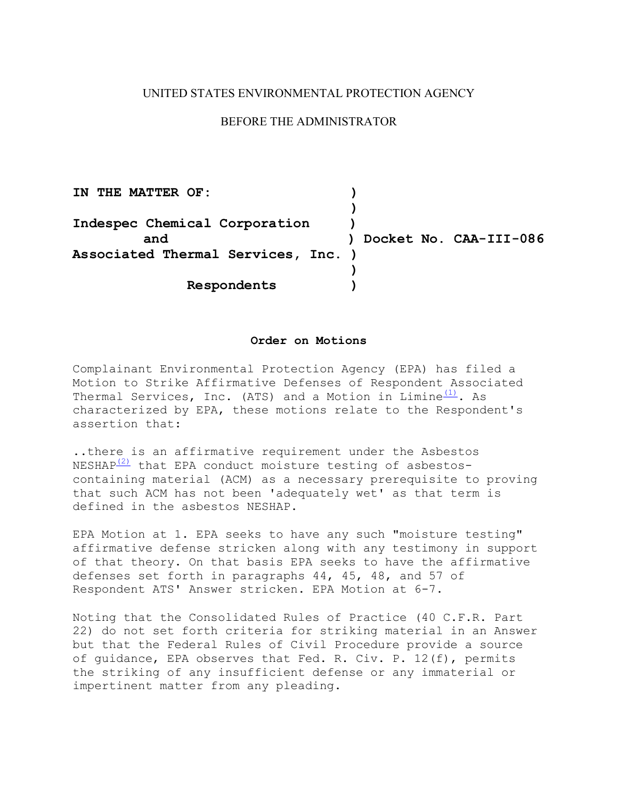### UNITED STATES ENVIRONMENTAL PROTECTION AGENCY

## BEFORE THE ADMINISTRATOR

 **Indespec Chemical Corporation ) Associated Thermal Services, Inc. ) IN THE MATTER OF: ) ) and ) Docket No. CAA-III-086 ) Respondents )** 

### **Order on Motions**

Complainant Environmental Protection Agency (EPA) has filed a Motion to Strike Affirmative Defenses of Respondent Associated Thermal Services, Inc. (ATS) and a Motion in  $Limit^{(1)}$ . As characterized by EPA, these motions relate to the Respondent's assertion that:

..there is an affirmative requirement under the Asbestos NESHAP $(2)$  that EPA conduct moisture testing of asbestoscontaining material (ACM) as a necessary prerequisite to proving that such ACM has not been 'adequately wet' as that term is defined in the asbestos NESHAP.

EPA Motion at 1. EPA seeks to have any such "moisture testing" affirmative defense stricken along with any testimony in support of that theory. On that basis EPA seeks to have the affirmative defenses set forth in paragraphs 44, 45, 48, and 57 of Respondent ATS' Answer stricken. EPA Motion at 6-7.

Noting that the Consolidated Rules of Practice (40 C.F.R. Part 22) do not set forth criteria for striking material in an Answer but that the Federal Rules of Civil Procedure provide a source of guidance, EPA observes that Fed. R. Civ. P. 12(f), permits the striking of any insufficient defense or any immaterial or impertinent matter from any pleading.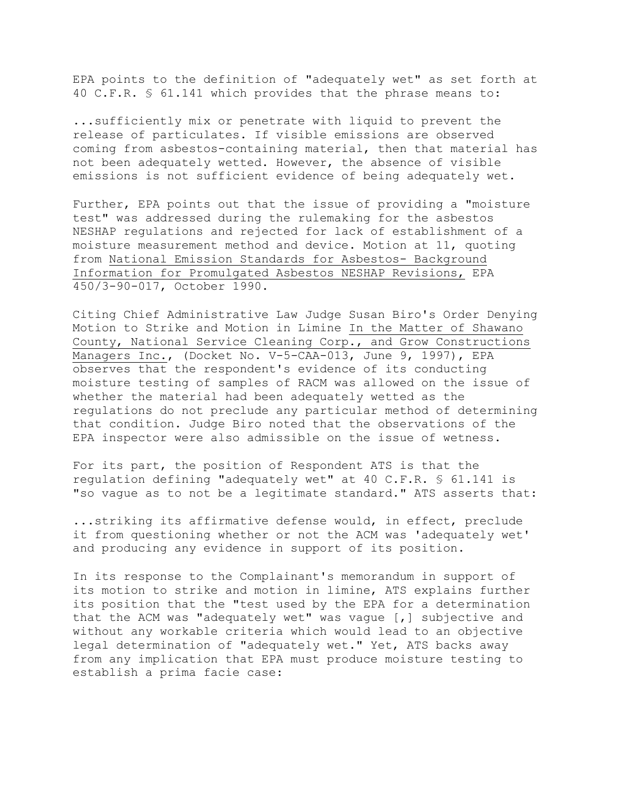EPA points to the definition of "adequately wet" as set forth at 40 C.F.R. § 61.141 which provides that the phrase means to:

...sufficiently mix or penetrate with liquid to prevent the release of particulates. If visible emissions are observed coming from asbestos-containing material, then that material has not been adequately wetted. However, the absence of visible emissions is not sufficient evidence of being adequately wet.

Further, EPA points out that the issue of providing a "moisture test" was addressed during the rulemaking for the asbestos NESHAP regulations and rejected for lack of establishment of a moisture measurement method and device. Motion at 11, quoting from National Emission Standards for Asbestos- Background Information for Promulgated Asbestos NESHAP Revisions, EPA 450/3-90-017, October 1990.

Citing Chief Administrative Law Judge Susan Biro's Order Denying Motion to Strike and Motion in Limine In the Matter of Shawano County, National Service Cleaning Corp., and Grow Constructions Managers Inc., (Docket No. V-5-CAA-013, June 9, 1997), EPA observes that the respondent's evidence of its conducting moisture testing of samples of RACM was allowed on the issue of whether the material had been adequately wetted as the regulations do not preclude any particular method of determining that condition. Judge Biro noted that the observations of the EPA inspector were also admissible on the issue of wetness.

For its part, the position of Respondent ATS is that the regulation defining "adequately wet" at 40 C.F.R. § 61.141 is "so vague as to not be a legitimate standard." ATS asserts that:

...striking its affirmative defense would, in effect, preclude it from questioning whether or not the ACM was 'adequately wet' and producing any evidence in support of its position.

In its response to the Complainant's memorandum in support of its motion to strike and motion in limine, ATS explains further its position that the "test used by the EPA for a determination that the ACM was "adequately wet" was vague [,] subjective and without any workable criteria which would lead to an objective legal determination of "adequately wet." Yet, ATS backs away from any implication that EPA must produce moisture testing to establish a prima facie case: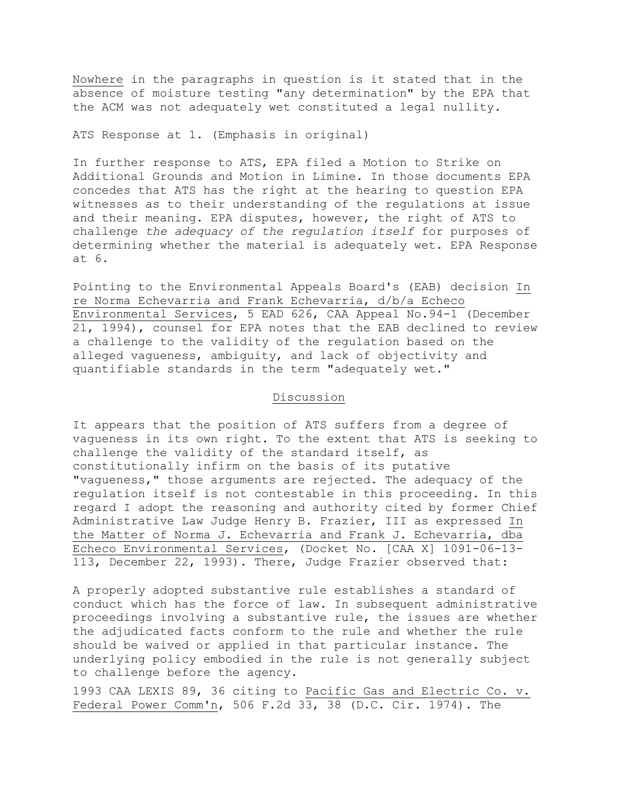Nowhere in the paragraphs in question is it stated that in the absence of moisture testing "any determination" by the EPA that the ACM was not adequately wet constituted a legal nullity.

ATS Response at 1. (Emphasis in original)

In further response to ATS, EPA filed a Motion to Strike on Additional Grounds and Motion in Limine. In those documents EPA concedes that ATS has the right at the hearing to question EPA witnesses as to their understanding of the regulations at issue and their meaning. EPA disputes, however, the right of ATS to challenge *the adequacy of the regulation itself* for purposes of determining whether the material is adequately wet. EPA Response at 6.

Pointing to the Environmental Appeals Board's (EAB) decision In re Norma Echevarria and Frank Echevarria, d/b/a Echeco Environmental Services, 5 EAD 626, CAA Appeal No.94-1 (December 21, 1994), counsel for EPA notes that the EAB declined to review a challenge to the validity of the regulation based on the alleged vagueness, ambiguity, and lack of objectivity and quantifiable standards in the term "adequately wet."

#### Discussion

It appears that the position of ATS suffers from a degree of vagueness in its own right. To the extent that ATS is seeking to challenge the validity of the standard itself, as constitutionally infirm on the basis of its putative "vagueness," those arguments are rejected. The adequacy of the regulation itself is not contestable in this proceeding. In this regard I adopt the reasoning and authority cited by former Chief Administrative Law Judge Henry B. Frazier, III as expressed In the Matter of Norma J. Echevarria and Frank J. Echevarria, dba Echeco Environmental Services, (Docket No. [CAA X] 1091-06-13- 113, December 22, 1993). There, Judge Frazier observed that:

A properly adopted substantive rule establishes a standard of conduct which has the force of law. In subsequent administrative proceedings involving a substantive rule, the issues are whether the adjudicated facts conform to the rule and whether the rule should be waived or applied in that particular instance. The underlying policy embodied in the rule is not generally subject to challenge before the agency.

1993 CAA LEXIS 89, 36 citing to Pacific Gas and Electric Co. v. Federal Power Comm'n, 506 F.2d 33, 38 (D.C. Cir. 1974). The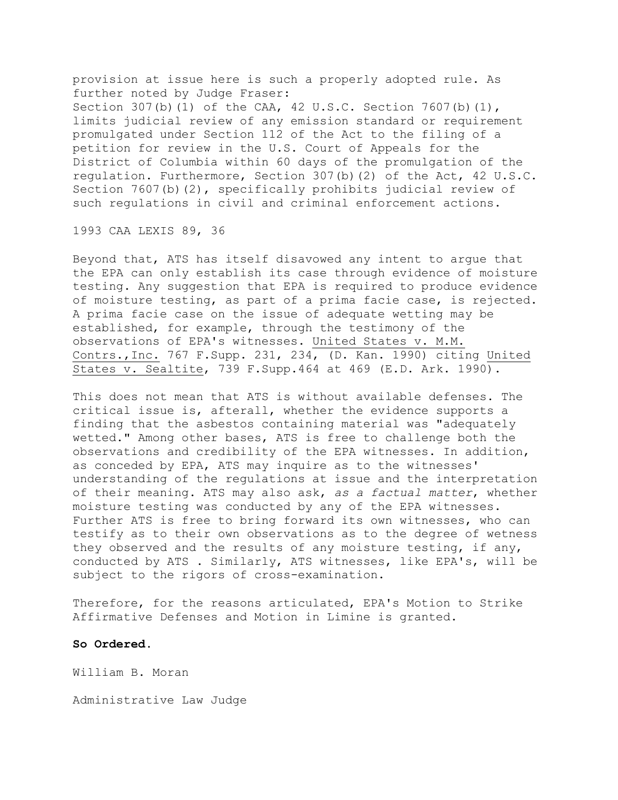provision at issue here is such a properly adopted rule. As further noted by Judge Fraser: Section 307(b)(1) of the CAA, 42 U.S.C. Section 7607(b)(1), limits judicial review of any emission standard or requirement promulgated under Section 112 of the Act to the filing of a petition for review in the U.S. Court of Appeals for the District of Columbia within 60 days of the promulgation of the regulation. Furthermore, Section 307(b)(2) of the Act, 42 U.S.C. Section 7607(b)(2), specifically prohibits judicial review of such regulations in civil and criminal enforcement actions.

1993 CAA LEXIS 89, 36

Beyond that, ATS has itself disavowed any intent to argue that the EPA can only establish its case through evidence of moisture testing. Any suggestion that EPA is required to produce evidence of moisture testing, as part of a prima facie case, is rejected. A prima facie case on the issue of adequate wetting may be established, for example, through the testimony of the observations of EPA's witnesses. United States v. M.M. Contrs.,Inc. 767 F.Supp. 231, 234, (D. Kan. 1990) citing United States v. Sealtite, 739 F.Supp.464 at 469 (E.D. Ark. 1990).

This does not mean that ATS is without available defenses. The critical issue is, afterall, whether the evidence supports a finding that the asbestos containing material was "adequately wetted." Among other bases, ATS is free to challenge both the observations and credibility of the EPA witnesses. In addition, as conceded by EPA, ATS may inquire as to the witnesses' understanding of the regulations at issue and the interpretation of their meaning. ATS may also ask, *as a factual matter*, whether moisture testing was conducted by any of the EPA witnesses. Further ATS is free to bring forward its own witnesses, who can testify as to their own observations as to the degree of wetness they observed and the results of any moisture testing, if any, conducted by ATS . Similarly, ATS witnesses, like EPA's, will be subject to the rigors of cross-examination.

Therefore, for the reasons articulated, EPA's Motion to Strike Affirmative Defenses and Motion in Limine is granted.

### **So Ordered.**

William B. Moran

Administrative Law Judge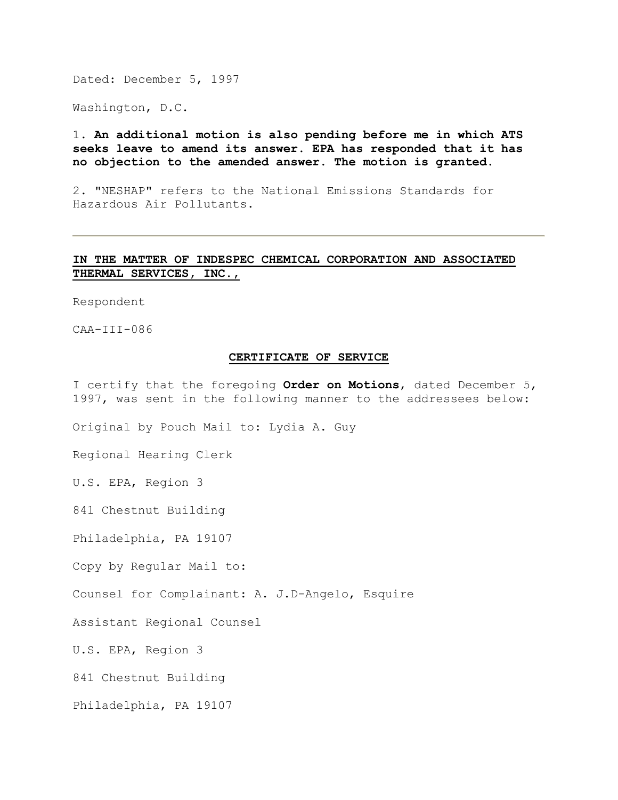Dated: December 5, 1997

Washington, D.C.

# 1. **An additional motion is also pending before me in which ATS seeks leave to amend its answer. EPA has responded that it has no objection to the amended answer. The motion is granted.**

2. "NESHAP" refers to the National Emissions Standards for Hazardous Air Pollutants.

# **IN THE MATTER OF INDESPEC CHEMICAL CORPORATION AND ASSOCIATED THERMAL SERVICES, INC.,**

Respondent

CAA-III-086

#### **CERTIFICATE OF SERVICE**

I certify that the foregoing **Order on Motions**, dated December 5, 1997, was sent in the following manner to the addressees below:

Original by Pouch Mail to: Lydia A. Guy

Regional Hearing Clerk

U.S. EPA, Region 3

841 Chestnut Building

Philadelphia, PA 19107

Copy by Regular Mail to:

Counsel for Complainant: A. J.D-Angelo, Esquire

Assistant Regional Counsel

U.S. EPA, Region 3

841 Chestnut Building

Philadelphia, PA 19107